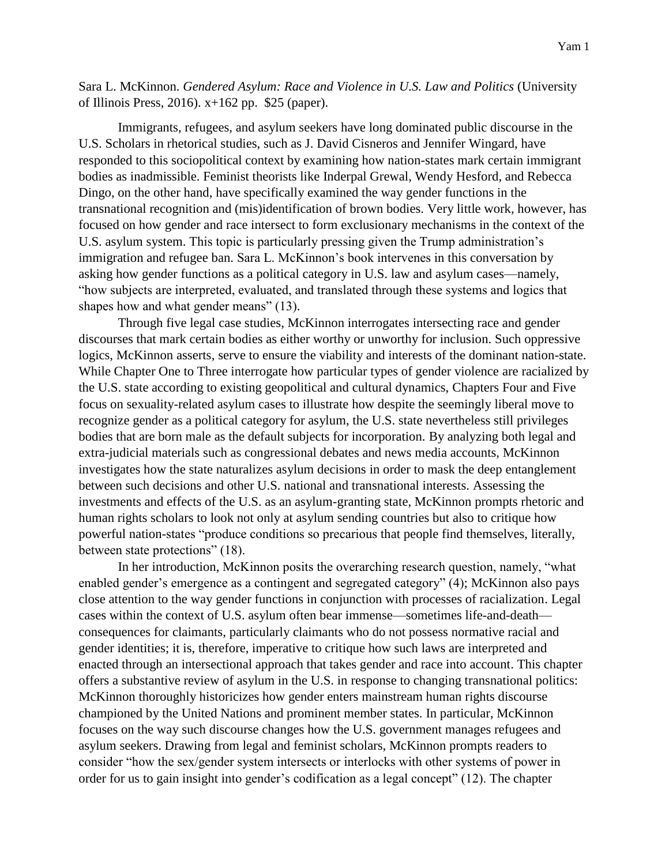Sara L. McKinnon. *Gendered Asylum: Race and Violence in U.S. Law and Politics* (University of Illinois Press, 2016). x+162 pp. \$25 (paper).

Immigrants, refugees, and asylum seekers have long dominated public discourse in the U.S. Scholars in rhetorical studies, such as J. David Cisneros and Jennifer Wingard, have responded to this sociopolitical context by examining how nation-states mark certain immigrant bodies as inadmissible. Feminist theorists like Inderpal Grewal, Wendy Hesford, and Rebecca Dingo, on the other hand, have specifically examined the way gender functions in the transnational recognition and (mis)identification of brown bodies. Very little work, however, has focused on how gender and race intersect to form exclusionary mechanisms in the context of the U.S. asylum system. This topic is particularly pressing given the Trump administration's immigration and refugee ban. Sara L. McKinnon's book intervenes in this conversation by asking how gender functions as a political category in U.S. law and asylum cases—namely, "how subjects are interpreted, evaluated, and translated through these systems and logics that shapes how and what gender means" (13).

Through five legal case studies, McKinnon interrogates intersecting race and gender discourses that mark certain bodies as either worthy or unworthy for inclusion. Such oppressive logics, McKinnon asserts, serve to ensure the viability and interests of the dominant nation-state. While Chapter One to Three interrogate how particular types of gender violence are racialized by the U.S. state according to existing geopolitical and cultural dynamics, Chapters Four and Five focus on sexuality-related asylum cases to illustrate how despite the seemingly liberal move to recognize gender as a political category for asylum, the U.S. state nevertheless still privileges bodies that are born male as the default subjects for incorporation. By analyzing both legal and extra-judicial materials such as congressional debates and news media accounts, McKinnon investigates how the state naturalizes asylum decisions in order to mask the deep entanglement between such decisions and other U.S. national and transnational interests. Assessing the investments and effects of the U.S. as an asylum-granting state, McKinnon prompts rhetoric and human rights scholars to look not only at asylum sending countries but also to critique how powerful nation-states "produce conditions so precarious that people find themselves, literally, between state protections" (18).

In her introduction, McKinnon posits the overarching research question, namely, "what enabled gender's emergence as a contingent and segregated category" (4); McKinnon also pays close attention to the way gender functions in conjunction with processes of racialization. Legal cases within the context of U.S. asylum often bear immense—sometimes life-and-death consequences for claimants, particularly claimants who do not possess normative racial and gender identities; it is, therefore, imperative to critique how such laws are interpreted and enacted through an intersectional approach that takes gender and race into account. This chapter offers a substantive review of asylum in the U.S. in response to changing transnational politics: McKinnon thoroughly historicizes how gender enters mainstream human rights discourse championed by the United Nations and prominent member states. In particular, McKinnon focuses on the way such discourse changes how the U.S. government manages refugees and asylum seekers. Drawing from legal and feminist scholars, McKinnon prompts readers to consider "how the sex/gender system intersects or interlocks with other systems of power in order for us to gain insight into gender's codification as a legal concept" (12). The chapter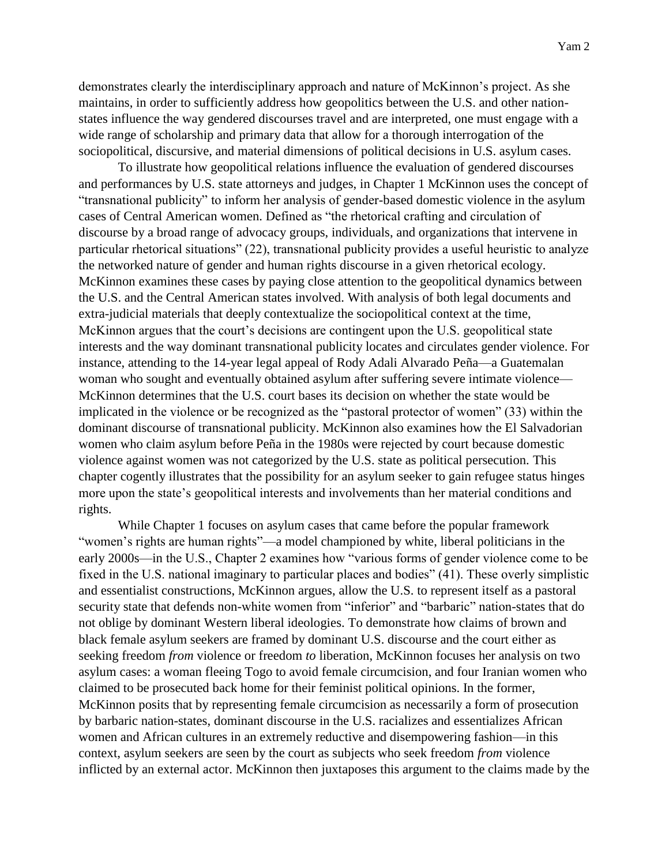demonstrates clearly the interdisciplinary approach and nature of McKinnon's project. As she maintains, in order to sufficiently address how geopolitics between the U.S. and other nationstates influence the way gendered discourses travel and are interpreted, one must engage with a wide range of scholarship and primary data that allow for a thorough interrogation of the sociopolitical, discursive, and material dimensions of political decisions in U.S. asylum cases.

To illustrate how geopolitical relations influence the evaluation of gendered discourses and performances by U.S. state attorneys and judges, in Chapter 1 McKinnon uses the concept of "transnational publicity" to inform her analysis of gender-based domestic violence in the asylum cases of Central American women. Defined as "the rhetorical crafting and circulation of discourse by a broad range of advocacy groups, individuals, and organizations that intervene in particular rhetorical situations" (22), transnational publicity provides a useful heuristic to analyze the networked nature of gender and human rights discourse in a given rhetorical ecology. McKinnon examines these cases by paying close attention to the geopolitical dynamics between the U.S. and the Central American states involved. With analysis of both legal documents and extra-judicial materials that deeply contextualize the sociopolitical context at the time, McKinnon argues that the court's decisions are contingent upon the U.S. geopolitical state interests and the way dominant transnational publicity locates and circulates gender violence. For instance, attending to the 14-year legal appeal of Rody Adali Alvarado Peña—a Guatemalan woman who sought and eventually obtained asylum after suffering severe intimate violence— McKinnon determines that the U.S. court bases its decision on whether the state would be implicated in the violence or be recognized as the "pastoral protector of women" (33) within the dominant discourse of transnational publicity. McKinnon also examines how the El Salvadorian women who claim asylum before Peña in the 1980s were rejected by court because domestic violence against women was not categorized by the U.S. state as political persecution. This chapter cogently illustrates that the possibility for an asylum seeker to gain refugee status hinges more upon the state's geopolitical interests and involvements than her material conditions and rights.

While Chapter 1 focuses on asylum cases that came before the popular framework "women's rights are human rights"—a model championed by white, liberal politicians in the early 2000s—in the U.S., Chapter 2 examines how "various forms of gender violence come to be fixed in the U.S. national imaginary to particular places and bodies" (41). These overly simplistic and essentialist constructions, McKinnon argues, allow the U.S. to represent itself as a pastoral security state that defends non-white women from "inferior" and "barbaric" nation-states that do not oblige by dominant Western liberal ideologies. To demonstrate how claims of brown and black female asylum seekers are framed by dominant U.S. discourse and the court either as seeking freedom *from* violence or freedom *to* liberation, McKinnon focuses her analysis on two asylum cases: a woman fleeing Togo to avoid female circumcision, and four Iranian women who claimed to be prosecuted back home for their feminist political opinions. In the former, McKinnon posits that by representing female circumcision as necessarily a form of prosecution by barbaric nation-states, dominant discourse in the U.S. racializes and essentializes African women and African cultures in an extremely reductive and disempowering fashion—in this context, asylum seekers are seen by the court as subjects who seek freedom *from* violence inflicted by an external actor. McKinnon then juxtaposes this argument to the claims made by the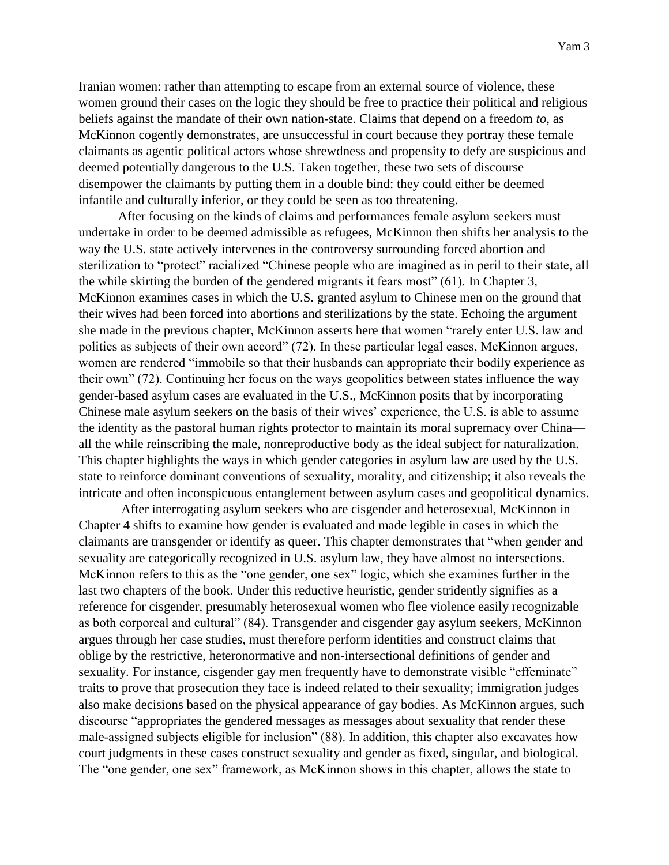Iranian women: rather than attempting to escape from an external source of violence, these women ground their cases on the logic they should be free to practice their political and religious beliefs against the mandate of their own nation-state. Claims that depend on a freedom *to*, as McKinnon cogently demonstrates, are unsuccessful in court because they portray these female claimants as agentic political actors whose shrewdness and propensity to defy are suspicious and deemed potentially dangerous to the U.S. Taken together, these two sets of discourse disempower the claimants by putting them in a double bind: they could either be deemed infantile and culturally inferior, or they could be seen as too threatening.

After focusing on the kinds of claims and performances female asylum seekers must undertake in order to be deemed admissible as refugees, McKinnon then shifts her analysis to the way the U.S. state actively intervenes in the controversy surrounding forced abortion and sterilization to "protect" racialized "Chinese people who are imagined as in peril to their state, all the while skirting the burden of the gendered migrants it fears most" (61). In Chapter 3, McKinnon examines cases in which the U.S. granted asylum to Chinese men on the ground that their wives had been forced into abortions and sterilizations by the state. Echoing the argument she made in the previous chapter, McKinnon asserts here that women "rarely enter U.S. law and politics as subjects of their own accord" (72). In these particular legal cases, McKinnon argues, women are rendered "immobile so that their husbands can appropriate their bodily experience as their own" (72). Continuing her focus on the ways geopolitics between states influence the way gender-based asylum cases are evaluated in the U.S., McKinnon posits that by incorporating Chinese male asylum seekers on the basis of their wives' experience, the U.S. is able to assume the identity as the pastoral human rights protector to maintain its moral supremacy over China all the while reinscribing the male, nonreproductive body as the ideal subject for naturalization. This chapter highlights the ways in which gender categories in asylum law are used by the U.S. state to reinforce dominant conventions of sexuality, morality, and citizenship; it also reveals the intricate and often inconspicuous entanglement between asylum cases and geopolitical dynamics.

After interrogating asylum seekers who are cisgender and heterosexual, McKinnon in Chapter 4 shifts to examine how gender is evaluated and made legible in cases in which the claimants are transgender or identify as queer. This chapter demonstrates that "when gender and sexuality are categorically recognized in U.S. asylum law, they have almost no intersections. McKinnon refers to this as the "one gender, one sex" logic, which she examines further in the last two chapters of the book. Under this reductive heuristic, gender stridently signifies as a reference for cisgender, presumably heterosexual women who flee violence easily recognizable as both corporeal and cultural" (84). Transgender and cisgender gay asylum seekers, McKinnon argues through her case studies, must therefore perform identities and construct claims that oblige by the restrictive, heteronormative and non-intersectional definitions of gender and sexuality. For instance, cisgender gay men frequently have to demonstrate visible "effeminate" traits to prove that prosecution they face is indeed related to their sexuality; immigration judges also make decisions based on the physical appearance of gay bodies. As McKinnon argues, such discourse "appropriates the gendered messages as messages about sexuality that render these male-assigned subjects eligible for inclusion" (88). In addition, this chapter also excavates how court judgments in these cases construct sexuality and gender as fixed, singular, and biological. The "one gender, one sex" framework, as McKinnon shows in this chapter, allows the state to